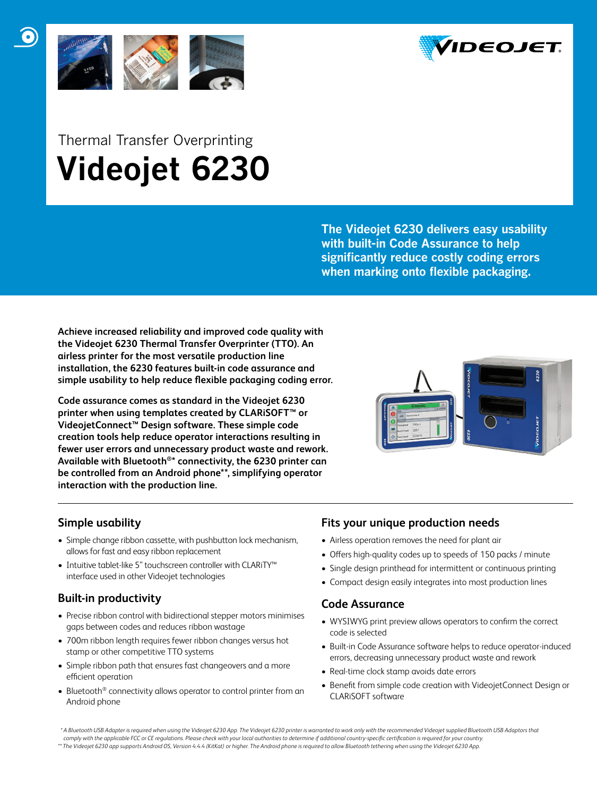



# Thermal Transfer Overprinting  **Videojet 6230**

**The Videojet 6230 delivers easy usability with built-in Code Assurance to help significantly reduce costly coding errors when marking onto flexible packaging.** 

**Achieve increased reliability and improved code quality with the Videojet 6230 Thermal Transfer Overprinter (TTO). An airless printer for the most versatile production line installation, the 6230 features built-in code assurance and simple usability to help reduce flexible packaging coding error.** 

**Code assurance comes as standard in the Videojet 6230 printer when using templates created by CLARiSOFT™ or VideojetConnect™ Design software. These simple code creation tools help reduce operator interactions resulting in fewer user errors and unnecessary product waste and rework. Available with Bluetooth®\* connectivity, the 6230 printer can be controlled from an Android phone\*\*, simplifying operator interaction with the production line.**



## **Simple usability**

- Simple change ribbon cassette, with pushbutton lock mechanism, allows for fast and easy ribbon replacement
- Intuitive tablet-like 5'' touchscreen controller with CLARiTY™ interface used in other Videojet technologies

## **Built-in productivity**

- Precise ribbon control with bidirectional stepper motors minimises gaps between codes and reduces ribbon wastage
- 700m ribbon length requires fewer ribbon changes versus hot stamp or other competitive TTO systems
- Simple ribbon path that ensures fast changeovers and a more efficient operation
- Bluetooth<sup>®</sup> connectivity allows operator to control printer from an Android phone

## **Fits your unique production needs**

- Airless operation removes the need for plant air
- Offers high-quality codes up to speeds of 150 packs / minute
- Single design printhead for intermittent or continuous printing
- Compact design easily integrates into most production lines

## **Code Assurance**

- WYSIWYG print preview allows operators to confirm the correct code is selected
- Built-in Code Assurance software helps to reduce operator-induced errors, decreasing unnecessary product waste and rework
- Real-time clock stamp avoids date errors
- Benefit from simple code creation with VideojetConnect Design or CLARiSOFT software

 *\* A Bluetooth USB Adapter is required when using the Videojet 6230 App. The Videojet 6230 printer is warranted to work only with the recommended Videojet supplied Bluetooth USB Adaptors that*  comply with the applicable FCC or CE regulations. Please check with your local authorities to determine if additional country-specific certification is required for your country *\*\* The Videojet 6230 app supports Android OS, Version 4.4.4 (KitKat) or higher. The Android phone is required to allow Bluetooth tethering when using the Videojet 6230 App.*